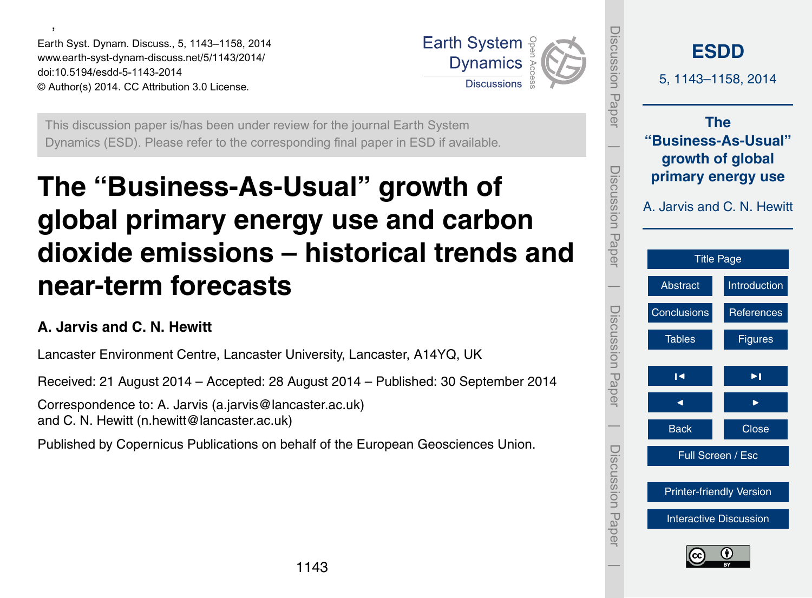<span id="page-0-0"></span>' Earth Syst. Dynam. Discuss., 5, 1143–1158, 2014 www.earth-syst-dynam-discuss.net/5/1143/2014/ doi:10.5194/esdd-5-1143-2014 © Author(s) 2014. CC Attribution 3.0 License.



This discussion paper is/has been under review for the journal Earth System Dynamics (ESD). Please refer to the corresponding final paper in ESD if available.

# **The "Business-As-Usual" growth of global primary energy use and carbon dioxide emissions – historical trends and near-term forecasts**

# **A. Jarvis and C. N. Hewitt**

Lancaster Environment Centre, Lancaster University, Lancaster, A14YQ, UK

Received: 21 August 2014 – Accepted: 28 August 2014 – Published: 30 September 2014

Correspondence to: A. Jarvis (a.jarvis@lancaster.ac.uk) and C. N. Hewitt (n.hewitt@lancaster.ac.uk)

Published by Copernicus Publications on behalf of the European Geosciences Union.

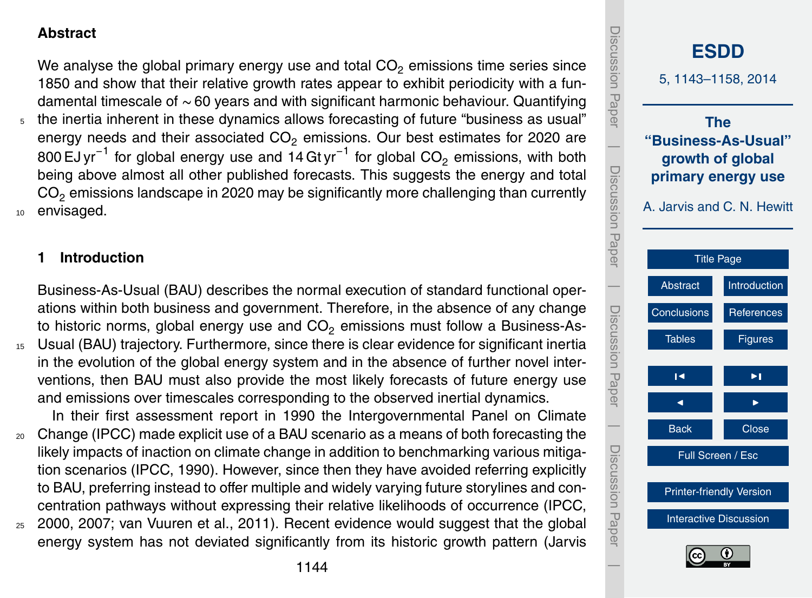## <span id="page-1-0"></span>**Abstract**

We analyse the global primary energy use and total  $CO<sub>2</sub>$  emissions time series since 1850 and show that their relative growth rates appear to exhibit periodicity with a fundamental timescale of ∼ 60 years and with significant harmonic behaviour. Quantifying the inertia inherent in these dynamics allows forecasting of future "business as usual" energy needs and their associated  $CO<sub>2</sub>$  emissions. Our best estimates for 2020 are 800 EJ yr $^{-1}$  for global energy use and 14 Gt yr $^{-1}$  for global CO $_2$  emissions, with both being above almost all other published forecasts. This suggests the energy and total  $CO<sub>2</sub>$  emissions landscape in 2020 may be significantly more challenging than currently <sup>10</sup> envisaged.

## **1 Introduction**

Business-As-Usual (BAU) describes the normal execution of standard functional operations within both business and government. Therefore, in the absence of any change to historic norms, global energy use and  $CO<sub>2</sub>$  emissions must follow a Business-As-<sup>15</sup> Usual (BAU) trajectory. Furthermore, since there is clear evidence for significant inertia in the evolution of the global energy system and in the absence of further novel interventions, then BAU must also provide the most likely forecasts of future energy use and emissions over timescales corresponding to the observed inertial dynamics.

In their first assessment report in 1990 the Intergovernmental Panel on Climate <sup>20</sup> Change (IPCC) made explicit use of a BAU scenario as a means of both forecasting the likely impacts of inaction on climate change in addition to benchmarking various mitigation scenarios (IPCC, 1990). However, since then they have avoided referring explicitly to BAU, preferring instead to offer multiple and widely varying future storylines and con-

centration pathways without expressing their relative likelihoods of occurrence (IPCC,  $25$  2000, 2007; van Vuuren et al., 2011). Recent evidence would suggest that the global energy system has not deviated significantly from its historic growth pattern (Jarvis

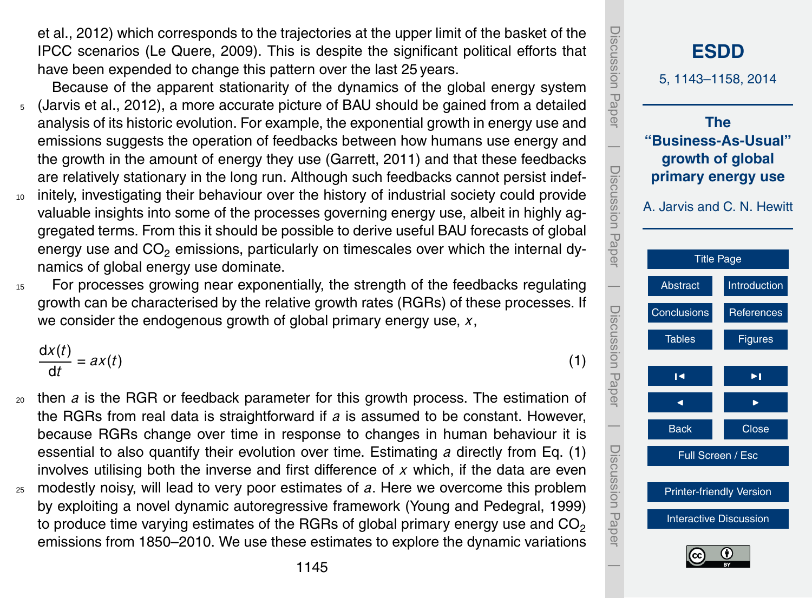<span id="page-2-0"></span>et al., 2012) which corresponds to the trajectories at the upper limit of the basket of the IPCC scenarios (Le Quere, 2009). This is despite the significant political efforts that have been expended to change this pattern over the last 25 years.

- Because of the apparent stationarity of the dynamics of the global energy system <sup>5</sup> (Jarvis et al., 2012), a more accurate picture of BAU should be gained from a detailed analysis of its historic evolution. For example, the exponential growth in energy use and emissions suggests the operation of feedbacks between how humans use energy and the growth in the amount of energy they use (Garrett, 2011) and that these feedbacks are relatively stationary in the long run. Although such feedbacks cannot persist indef-
- <sup>10</sup> initely, investigating their behaviour over the history of industrial society could provide valuable insights into some of the processes governing energy use, albeit in highly aggregated terms. From this it should be possible to derive useful BAU forecasts of global energy use and  $CO<sub>2</sub>$  emissions, particularly on timescales over which the internal dynamics of global energy use dominate.
- <sup>15</sup> For processes growing near exponentially, the strength of the feedbacks regulating growth can be characterised by the relative growth rates (RGRs) of these processes. If we consider the endogenous growth of global primary energy use, *x*,

$$
\frac{\mathrm{d}x(t)}{\mathrm{d}t} = ax(t) \tag{1}
$$

- <sup>20</sup> then *a* is the RGR or feedback parameter for this growth process. The estimation of the RGRs from real data is straightforward if *a* is assumed to be constant. However, because RGRs change over time in response to changes in human behaviour it is essential to also quantify their evolution over time. Estimating *a* directly from Eq. (1) involves utilising both the inverse and first difference of *x* which, if the data are even
- <sup>25</sup> modestly noisy, will lead to very poor estimates of *a*. Here we overcome this problem by exploiting a novel dynamic autoregressive framework (Young and Pedegral, 1999) to produce time varying estimates of the RGRs of global primary energy use and  $CO<sub>2</sub>$ emissions from 1850–2010. We use these estimates to explore the dynamic variations

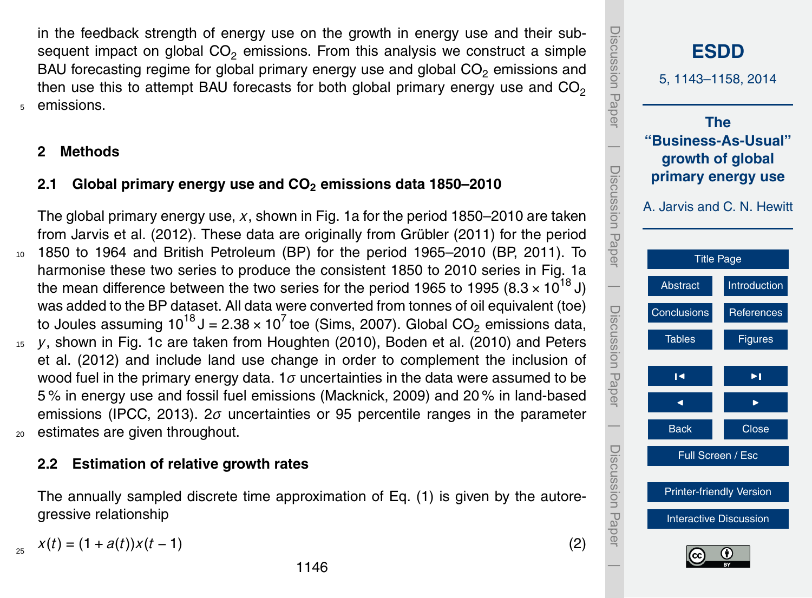in the feedback strength of energy use on the growth in energy use and their subsequent impact on global  $CO<sub>2</sub>$  emissions. From this analysis we construct a simple BAU forecasting regime for global primary energy use and global  $CO<sub>2</sub>$  emissions and then use this to attempt BAU forecasts for both global primary energy use and  $CO<sub>2</sub>$ <sup>5</sup> emissions.

# **2 Methods**

# **2.1 Global primary energy use and CO<sup>2</sup> emissions data 1850–2010**

The global primary energy use, *x*, shown in Fig. 1a for the period 1850–2010 are taken from Jarvis et al. (2012). These data are originally from Grübler (2011) for the period <sup>10</sup> 1850 to 1964 and British Petroleum (BP) for the period 1965–2010 (BP, 2011). To harmonise these two series to produce the consistent 1850 to 2010 series in Fig. 1a the mean difference between the two series for the period 1965 to 1995 (8.3  $\times$  10<sup>18</sup> J) was added to the BP dataset. All data were converted from tonnes of oil equivalent (toe) to Joules assuming 10 $^{18}$ J = 2.38 × 10<sup>7</sup> toe (Sims, 2007). Global CO<sub>2</sub> emissions data, <sup>15</sup> *y*, shown in Fig. 1c are taken from Houghten (2010), Boden et al. (2010) and Peters et al. (2012) and include land use change in order to complement the inclusion of wood fuel in the primary energy data. 1*σ* uncertainties in the data were assumed to be 5 % in energy use and fossil fuel emissions (Macknick, 2009) and 20 % in land-based emissions (IPCC, 2013). 2*σ* uncertainties or 95 percentile ranges in the parameter <sup>20</sup> estimates are given throughout.

## **2.2 Estimation of relative growth rates**

The annually sampled discrete time approximation of Eq. [\(1\)](#page-2-0) is given by the autoregressive relationship

 $x(t) = (1 + a(t))x(t - 1)$  (2)

25

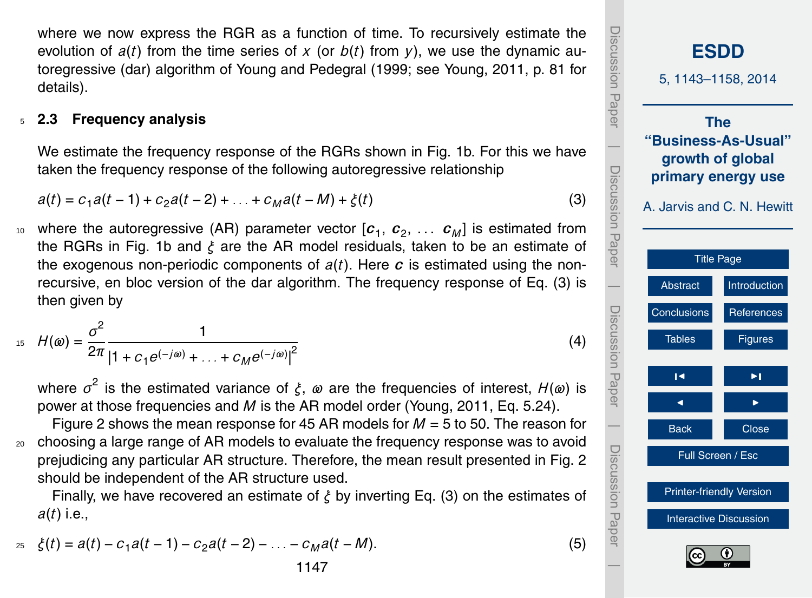where we now express the RGR as a function of time. To recursively estimate the evolution of  $a(t)$  from the time series of x (or  $b(t)$  from y), we use the dynamic autoregressive (dar) algorithm of Young and Pedegral (1999; see Young, 2011, p. 81 for details).

#### <sup>5</sup> **2.3 Frequency analysis**

We estimate the frequency response of the RGRs shown in Fig. 1b. For this we have taken the frequency response of the following autoregressive relationship

$$
a(t) = c_1 a(t-1) + c_2 a(t-2) + \dots + c_M a(t-M) + \xi(t)
$$
\n(3)

 $10$  where the autoregressive (AR) parameter vector  $[\boldsymbol{c}_1, \, \boldsymbol{c}_2, \, \dots \, \boldsymbol{c}_M]$  is estimated from the RGRs in Fig. 1b and *ξ* are the AR model residuals, taken to be an estimate of the exogenous non-periodic components of  $a(t)$ . Here  $c$  is estimated using the nonrecursive, en bloc version of the dar algorithm. The frequency response of Eq. (3) is then given by

$$
H(\omega) = \frac{\sigma^2}{2\pi} \frac{1}{\left|1 + c_1 e^{(-j\omega)} + \ldots + c_M e^{(-j\omega)}\right|^2}
$$
(4)

where *σ* 2 is the estimated variance of *ξ*, *ω* are the frequencies of interest, *H*(*ω*) is power at those frequencies and *M* is the AR model order (Young, 2011, Eq. 5.24).

Figure 2 shows the mean response for 45 AR models for *M* = 5 to 50. The reason for <sup>20</sup> choosing a large range of AR models to evaluate the frequency response was to avoid prejudicing any particular AR structure. Therefore, the mean result presented in Fig. 2 should be independent of the AR structure used.

Finally, we have recovered an estimate of *ξ* by inverting Eq. (3) on the estimates of *a*(*t*) i.e.,

$$
z_5 \quad \xi(t) = a(t) - c_1 a(t-1) - c_2 a(t-2) - \ldots - c_M a(t-M). \tag{5}
$$

Discussion PaperDiscussion **[ESDD](http://www.earth-syst-dynam-discuss.net)** 5, 1143–1158, 2014 Paper **The "Business-As-Usual"**  $\overline{\phantom{a}}$ **growth of global** Discussion PaperDiscussion Paper **primary energy use** A. Jarvis and C. N. Hewitt [Title Page](#page-0-0)  $\overline{\phantom{a}}$ [Abstract](#page-1-0) [Introduction](#page-1-0) Discussion PaperDiscussion Paper [Conclusions](#page-10-0) [References](#page-11-0) Tables **[Figures](#page-14-0)**  $\blacksquare$  $\blacksquare$  $\overline{\phantom{a}}$ Back **N** Close Discussion PaperDiscussion Full Screen / Esc [Printer-friendly Version](http://www.earth-syst-dynam-discuss.net/5/1143/2014/esdd-5-1143-2014-print.pdf) **Paper** [Interactive Discussion](http://www.earth-syst-dynam-discuss.net/5/1143/2014/esdd-5-1143-2014-discussion.html)  $\overline{\phantom{a}}$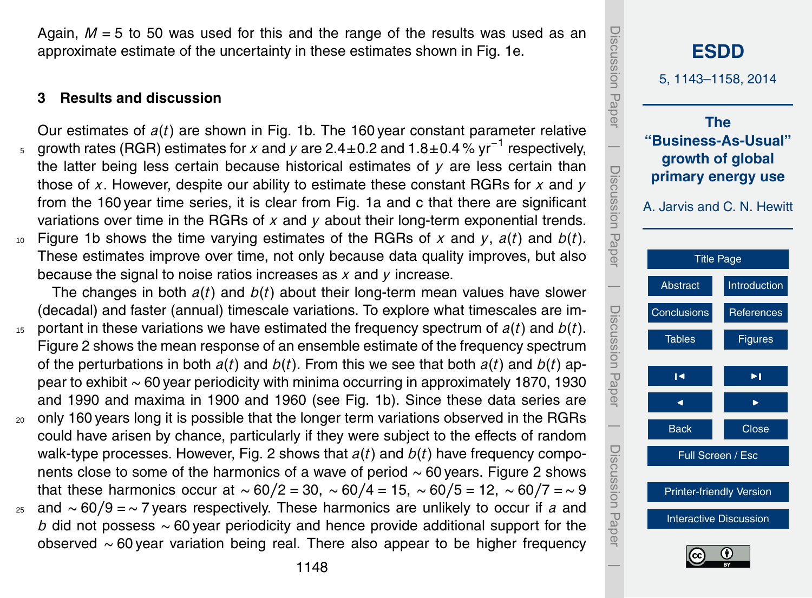Again,  $M = 5$  to 50 was used for this and the range of the results was used as an approximate estimate of the uncertainty in these estimates shown in Fig. 1e.

#### **3 Results and discussion**

Our estimates of *a*(*t*) are shown in Fig. 1b. The 160 year constant parameter relative growth rates (RGR) estimates for *x* and *y* are 2.4±0.2 and 1.8±0.4 % yr−<sup>1</sup> <sup>5</sup> respectively, the latter being less certain because historical estimates of *y* are less certain than those of *x*. However, despite our ability to estimate these constant RGRs for *x* and *y* from the 160 year time series, it is clear from Fig. 1a and c that there are significant variations over time in the RGRs of *x* and *y* about their long-term exponential trends.  $10<sub>10</sub>$  Figure 1b shows the time varying estimates of the RGRs of x and  $y$ ,  $a(t)$  and  $b(t)$ . These estimates improve over time, not only because data quality improves, but also because the signal to noise ratios increases as *x* and *y* increase.

The changes in both *a*(*t*) and *b*(*t*) about their long-term mean values have slower (decadal) and faster (annual) timescale variations. To explore what timescales are im- $15$  portant in these variations we have estimated the frequency spectrum of  $a(t)$  and  $b(t)$ . Figure 2 shows the mean response of an ensemble estimate of the frequency spectrum of the perturbations in both *a*(*t*) and *b*(*t*). From this we see that both *a*(*t*) and *b*(*t*) appear to exhibit ∼ 60 year periodicity with minima occurring in approximately 1870, 1930 and 1990 and maxima in 1900 and 1960 (see Fig. 1b). Since these data series are <sup>20</sup> only 160 years long it is possible that the longer term variations observed in the RGRs

- could have arisen by chance, particularly if they were subject to the effects of random walk-type processes. However, Fig. 2 shows that *a*(*t*) and *b*(*t*) have frequency components close to some of the harmonics of a wave of period ∼ 60 years. Figure 2 shows that these harmonics occur at ∼ 60*/*2 = 30, ∼ 60*/*4 = 15, ∼ 60*/*5 = 12, ∼ 60*/*7 =∼ 9
- <sup>25</sup> and ∼ 60*/*9 =∼ 7 years respectively. These harmonics are unlikely to occur if *a* and *b* did not possess ~ 60 year periodicity and hence provide additional support for the observed ∼ 60 year variation being real. There also appear to be higher frequency

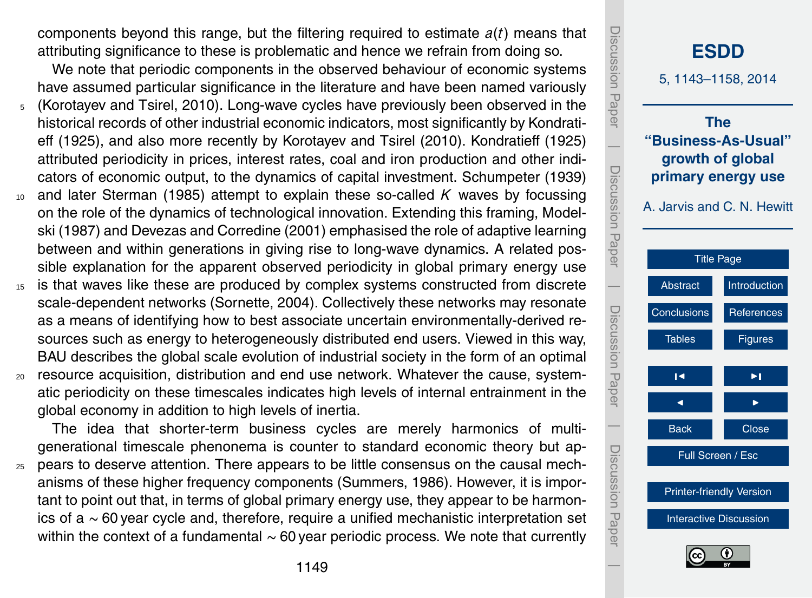components beyond this range, but the filtering required to estimate *a*(*t*) means that attributing significance to these is problematic and hence we refrain from doing so.

We note that periodic components in the observed behaviour of economic systems have assumed particular significance in the literature and have been named variously

- <sup>5</sup> (Korotayev and Tsirel, 2010). Long-wave cycles have previously been observed in the historical records of other industrial economic indicators, most significantly by Kondratieff (1925), and also more recently by Korotayev and Tsirel (2010). Kondratieff (1925) attributed periodicity in prices, interest rates, coal and iron production and other indicators of economic output, to the dynamics of capital investment. Schumpeter (1939)
- <sup>10</sup> and later Sterman (1985) attempt to explain these so-called *K* waves by focussing on the role of the dynamics of technological innovation. Extending this framing, Modelski (1987) and Devezas and Corredine (2001) emphasised the role of adaptive learning between and within generations in giving rise to long-wave dynamics. A related possible explanation for the apparent observed periodicity in global primary energy use
- <sup>15</sup> is that waves like these are produced by complex systems constructed from discrete scale-dependent networks (Sornette, 2004). Collectively these networks may resonate as a means of identifying how to best associate uncertain environmentally-derived resources such as energy to heterogeneously distributed end users. Viewed in this way, BAU describes the global scale evolution of industrial society in the form of an optimal
- <sup>20</sup> resource acquisition, distribution and end use network. Whatever the cause, systematic periodicity on these timescales indicates high levels of internal entrainment in the global economy in addition to high levels of inertia.

The idea that shorter-term business cycles are merely harmonics of multigenerational timescale phenonema is counter to standard economic theory but ap-

<sup>25</sup> pears to deserve attention. There appears to be little consensus on the causal mechanisms of these higher frequency components (Summers, 1986). However, it is important to point out that, in terms of global primary energy use, they appear to be harmonics of a ∼ 60 year cycle and, therefore, require a unified mechanistic interpretation set within the context of a fundamental ∼ 60 year periodic process. We note that currently

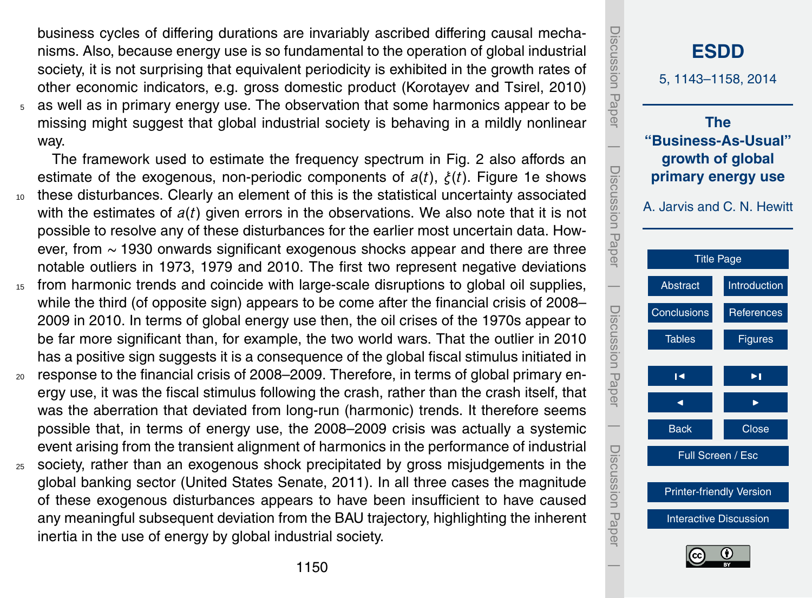business cycles of differing durations are invariably ascribed differing causal mechanisms. Also, because energy use is so fundamental to the operation of global industrial society, it is not surprising that equivalent periodicity is exhibited in the growth rates of other economic indicators, e.g. gross domestic product (Korotayev and Tsirel, 2010) <sup>5</sup> as well as in primary energy use. The observation that some harmonics appear to be missing might suggest that global industrial society is behaving in a mildly nonlinear way.

The framework used to estimate the frequency spectrum in Fig. 2 also affords an estimate of the exogenous, non-periodic components of *a*(*t*), *ξ*(*t*). Figure 1e shows <sup>10</sup> these disturbances. Clearly an element of this is the statistical uncertainty associated with the estimates of *a*(*t*) given errors in the observations. We also note that it is not possible to resolve any of these disturbances for the earlier most uncertain data. However, from ∼ 1930 onwards significant exogenous shocks appear and there are three notable outliers in 1973, 1979 and 2010. The first two represent negative deviations

- <sup>15</sup> from harmonic trends and coincide with large-scale disruptions to global oil supplies, while the third (of opposite sign) appears to be come after the financial crisis of 2008– 2009 in 2010. In terms of global energy use then, the oil crises of the 1970s appear to be far more significant than, for example, the two world wars. That the outlier in 2010 has a positive sign suggests it is a consequence of the global fiscal stimulus initiated in
- <sub>20</sub> response to the financial crisis of 2008–2009. Therefore, in terms of global primary energy use, it was the fiscal stimulus following the crash, rather than the crash itself, that was the aberration that deviated from long-run (harmonic) trends. It therefore seems possible that, in terms of energy use, the 2008–2009 crisis was actually a systemic event arising from the transient alignment of harmonics in the performance of industrial
- <sup>25</sup> society, rather than an exogenous shock precipitated by gross misjudgements in the global banking sector (United States Senate, 2011). In all three cases the magnitude of these exogenous disturbances appears to have been insufficient to have caused any meaningful subsequent deviation from the BAU trajectory, highlighting the inherent inertia in the use of energy by global industrial society.

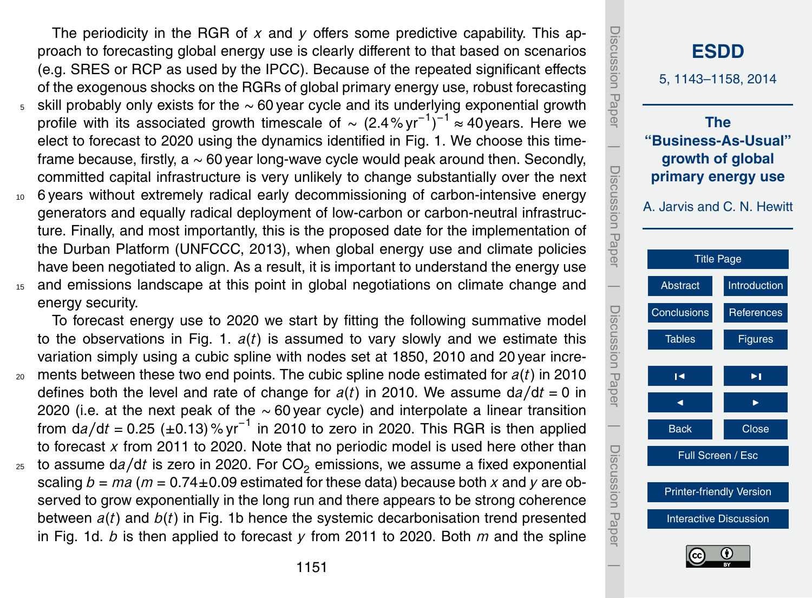The periodicity in the RGR of *x* and *y* offers some predictive capability. This approach to forecasting global energy use is clearly different to that based on scenarios (e.g. SRES or RCP as used by the IPCC). Because of the repeated significant effects of the exogenous shocks on the RGRs of global primary energy use, robust forecasting

- <sup>5</sup> skill probably only exists for the ∼ 60 year cycle and its underlying exponential growth profile with its associated growth timescale of  $\sim$  (2.4% yr<sup>-1</sup>)<sup>-1</sup> ≈ 40 years. Here we elect to forecast to 2020 using the dynamics identified in Fig. 1. We choose this timeframe because, firstly, a  $\sim$  60 year long-wave cycle would peak around then. Secondly, committed capital infrastructure is very unlikely to change substantially over the next
- <sup>10</sup> 6 years without extremely radical early decommissioning of carbon-intensive energy generators and equally radical deployment of low-carbon or carbon-neutral infrastructure. Finally, and most importantly, this is the proposed date for the implementation of the Durban Platform (UNFCCC, 2013), when global energy use and climate policies have been negotiated to align. As a result, it is important to understand the energy use <sup>15</sup> and emissions landscape at this point in global negotiations on climate change and
- energy security.

To forecast energy use to 2020 we start by fitting the following summative model to the observations in Fig. 1. *a*(*t*) is assumed to vary slowly and we estimate this variation simply using a cubic spline with nodes set at 1850, 2010 and 20 year incre-<sup>20</sup> ments between these two end points. The cubic spline node estimated for *a*(*t*) in 2010 defines both the level and rate of change for  $a(t)$  in 2010. We assume  $da/dt = 0$  in 2020 (i.e. at the next peak of the ∼ 60 year cycle) and interpolate a linear transition from d*a/*d*t* = 0.25 (±0.13) % yr−<sup>1</sup> in 2010 to zero in 2020. This RGR is then applied to forecast *x* from 2011 to 2020. Note that no periodic model is used here other than <sup>25</sup> to assume d*a/*d*t* is zero in 2020. For CO<sup>2</sup> emissions, we assume a fixed exponential scaling  $b = ma$  ( $m = 0.74 \pm 0.09$  estimated for these data) because both x and y are ob-

served to grow exponentially in the long run and there appears to be strong coherence between *a*(*t*) and *b*(*t*) in Fig. 1b hence the systemic decarbonisation trend presented in Fig. 1d. *b* is then applied to forecast *y* from 2011 to 2020. Both *m* and the spline

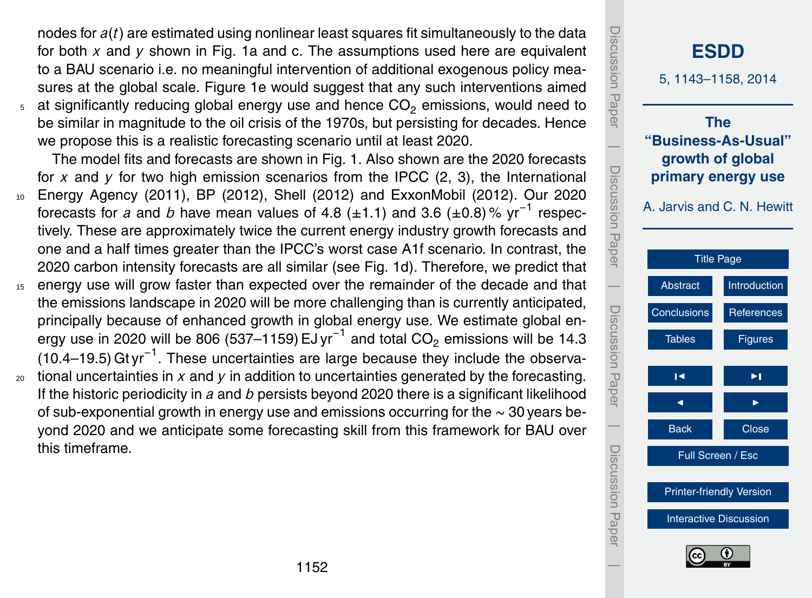nodes for *a*(*t*) are estimated using nonlinear least squares fit simultaneously to the data for both *x* and *y* shown in Fig. 1a and c. The assumptions used here are equivalent to a BAU scenario i.e. no meaningful intervention of additional exogenous policy measures at the global scale. Figure 1e would suggest that any such interventions aimed  $5$  at significantly reducing global energy use and hence CO<sub>2</sub> emissions, would need to be similar in magnitude to the oil crisis of the 1970s, but persisting for decades. Hence we propose this is a realistic forecasting scenario until at least 2020.

The model fits and forecasts are shown in Fig. 1. Also shown are the 2020 forecasts for  $x$  and  $y$  for two high emission scenarios from the IPCC  $(2, 3)$ , the International

- <sup>10</sup> Energy Agency (2011), BP (2012), Shell (2012) and ExxonMobil (2012). Our 2020 forecasts for *a* and *b* have mean values of 4.8 (±1.1) and 3.6 (±0.8)% yr<sup>-1</sup> respectively. These are approximately twice the current energy industry growth forecasts and one and a half times greater than the IPCC's worst case A1f scenario. In contrast, the 2020 carbon intensity forecasts are all similar (see Fig. 1d). Therefore, we predict that
- <sup>15</sup> energy use will grow faster than expected over the remainder of the decade and that the emissions landscape in 2020 will be more challenging than is currently anticipated, principally because of enhanced growth in global energy use. We estimate global energy use in 2020 will be 806 (537–1159) EJ yr $^{-1}$  and total CO $_2$  emissions will be 14.3 (10.4–19.5) Gt yr<sup>-1</sup>. These uncertainties are large because they include the observa-
- <sup>20</sup> tional uncertainties in *x* and *y* in addition to uncertainties generated by the forecasting. If the historic periodicity in *a* and *b* persists beyond 2020 there is a significant likelihood of sub-exponential growth in energy use and emissions occurring for the ∼ 30 years beyond 2020 and we anticipate some forecasting skill from this framework for BAU over this timeframe.

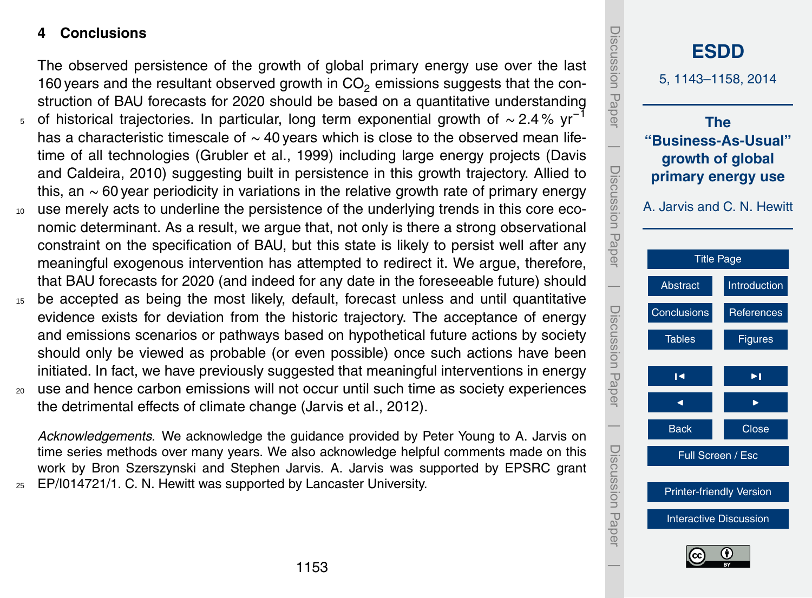## <span id="page-10-0"></span>**4 Conclusions**

The observed persistence of the growth of global primary energy use over the last 160 years and the resultant observed growth in  $CO<sub>2</sub>$  emissions suggests that the construction of BAU forecasts for 2020 should be based on a quantitative understanding

- <sub>5</sub> of historical trajectories. In particular, long term exponential growth of ~ 2.4% yr<sup>-1</sup> has a characteristic timescale of ∼ 40 years which is close to the observed mean lifetime of all technologies (Grubler et al., 1999) including large energy projects (Davis and Caldeira, 2010) suggesting built in persistence in this growth trajectory. Allied to this, an ∼ 60 year periodicity in variations in the relative growth rate of primary energy
- <sup>10</sup> use merely acts to underline the persistence of the underlying trends in this core economic determinant. As a result, we argue that, not only is there a strong observational constraint on the specification of BAU, but this state is likely to persist well after any meaningful exogenous intervention has attempted to redirect it. We argue, therefore, that BAU forecasts for 2020 (and indeed for any date in the foreseeable future) should
- <sup>15</sup> be accepted as being the most likely, default, forecast unless and until quantitative evidence exists for deviation from the historic trajectory. The acceptance of energy and emissions scenarios or pathways based on hypothetical future actions by society should only be viewed as probable (or even possible) once such actions have been initiated. In fact, we have previously suggested that meaningful interventions in energy
- <sup>20</sup> use and hence carbon emissions will not occur until such time as society experiences the detrimental effects of climate change (Jarvis et al., 2012).

*Acknowledgements.* We acknowledge the guidance provided by Peter Young to A. Jarvis on time series methods over many years. We also acknowledge helpful comments made on this work by Bron Szerszynski and Stephen Jarvis. A. Jarvis was supported by EPSRC grant <sup>25</sup> EP/I014721/1. C. N. Hewitt was supported by Lancaster University.

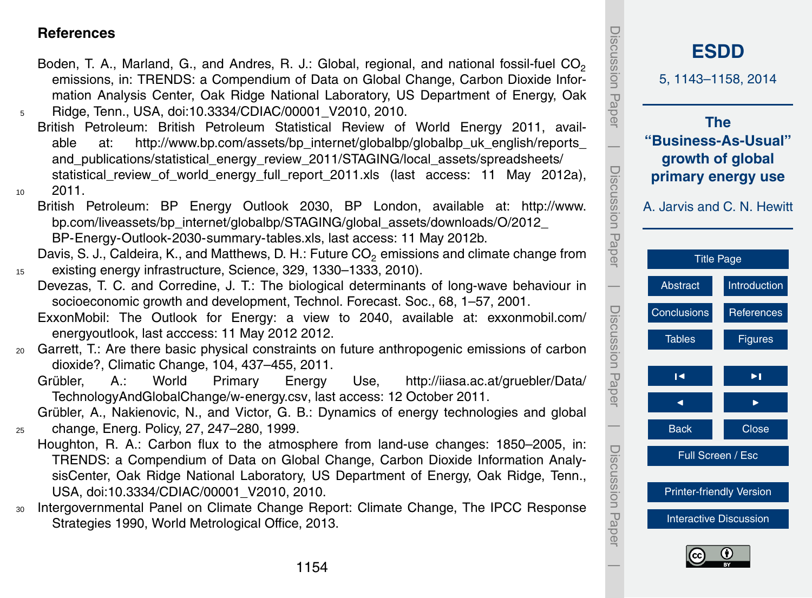#### <span id="page-11-0"></span>**References**

- Boden, T. A., Marland, G., and Andres, R. J.: Global, regional, and national fossil-fuel  $CO<sub>2</sub>$ emissions, in: TRENDS: a Compendium of Data on Global Change, Carbon Dioxide Information Analysis Center, Oak Ridge National Laboratory, US Department of Energy, Oak <sup>5</sup> Ridge, Tenn., USA, doi[:10.3334/CDIAC/00001\\_V2010,](http://dx.doi.org/10.3334/CDIAC/00001_V2010) 2010.
- British Petroleum: British Petroleum Statistical Review of World Energy 2011, available at: http://www.bp.com/assets/bp\_internet/globalbp/globalbp\_uk\_english/reports and publications/statistical energy review 2011/STAGING/local assets/spreadsheets/ statistical review of world energy full report 2011.xls (last access: 11 May 2012a),  $10^{10}$  2011
	- [B](http://www.bp.com/liveassets/bp_internet/globalbp/STAGING/global_assets/downloads/O/2012_BP-Energy-Outlook-2030-summary-tables.xls)ritish Petroleum: BP Energy Outlook 2030, BP London, available at: [http://www.](http://www.bp.com/liveassets/bp_internet/globalbp/STAGING/global_assets/downloads/O/2012_BP-Energy-Outlook-2030-summary-tables.xls) [bp.com/liveassets/bp\\_internet/globalbp/STAGING/global\\_assets/downloads/O/2012\\_](http://www.bp.com/liveassets/bp_internet/globalbp/STAGING/global_assets/downloads/O/2012_BP-Energy-Outlook-2030-summary-tables.xls) [BP-Energy-Outlook-2030-summary-tables.xls,](http://www.bp.com/liveassets/bp_internet/globalbp/STAGING/global_assets/downloads/O/2012_BP-Energy-Outlook-2030-summary-tables.xls) last access: 11 May 2012b.

Davis, S. J., Caldeira, K., and Matthews, D. H.: Future CO<sub>2</sub> emissions and climate change from <sup>15</sup> existing energy infrastructure, Science, 329, 1330–1333, 2010).

Devezas, T. C. and Corredine, J. T.: The biological determinants of long-wave behaviour in socioeconomic growth and development, Technol. Forecast. Soc., 68, 1–57, 2001.

[E](exxonmobil.com/energyoutlook)xxonMobil: The Outlook for Energy: a view to 2040, available at: [exxonmobil.com/](exxonmobil.com/energyoutlook) [energyoutlook,](exxonmobil.com/energyoutlook) last acccess: 11 May 2012 2012.

- <sup>20</sup> Garrett, T.: Are there basic physical constraints on future anthropogenic emissions of carbon dioxide?, Climatic Change, 104, 437–455, 2011.
	- [G](http://iiasa.ac.at/gruebler/Data/TechnologyAndGlobalChange/w-energy.csv)rübler, A.: World Primary Energy Use, [http://iiasa.ac.at/gruebler/Data/](http://iiasa.ac.at/gruebler/Data/TechnologyAndGlobalChange/w-energy.csv) [TechnologyAndGlobalChange/w-energy.csv,](http://iiasa.ac.at/gruebler/Data/TechnologyAndGlobalChange/w-energy.csv) last access: 12 October 2011.

Grübler, A., Nakienovic, N., and Victor, G. B.: Dynamics of energy technologies and global <sup>25</sup> change, Energ. Policy, 27, 247–280, 1999.

- Houghton, R. A.: Carbon flux to the atmosphere from land-use changes: 1850–2005, in: TRENDS: a Compendium of Data on Global Change, Carbon Dioxide Information AnalysisCenter, Oak Ridge National Laboratory, US Department of Energy, Oak Ridge, Tenn., USA, doi[:10.3334/CDIAC/00001\\_V2010,](http://dx.doi.org/10.3334/CDIAC/00001_V2010) 2010.
- <sup>30</sup> Intergovernmental Panel on Climate Change Report: Climate Change, The IPCC Response Strategies 1990, World Metrological Office, 2013.

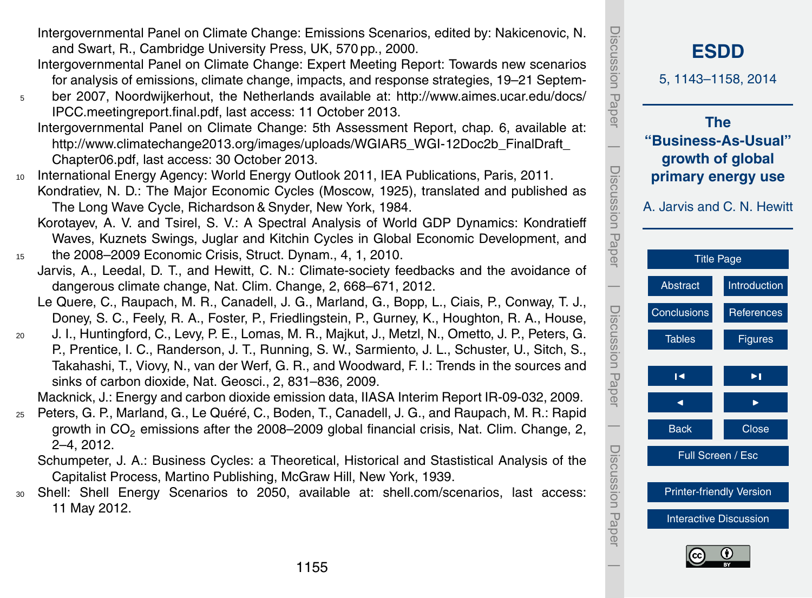Intergovernmental Panel on Climate Change: Emissions Scenarios, edited by: Nakicenovic, N. and Swart, R., Cambridge University Press, UK, 570 pp., 2000.

Intergovernmental Panel on Climate Change: Expert Meeting Report: Towards new scenarios for analysis of emissions, climate change, impacts, and response strategies, 19–21 Septem-

<sup>5</sup> ber 2007, Noordwijkerhout, the Netherlands available at: [http://www.aimes.ucar.edu/docs/](http://www.aimes.ucar.edu/docs/IPCC.meetingreport.final.pdf) [IPCC.meetingreport.final.pdf,](http://www.aimes.ucar.edu/docs/IPCC.meetingreport.final.pdf) last access: 11 October 2013.

Intergovernmental Panel on Climate Change: 5th Assessment Report, chap. 6, available at: http://www.climatechange2013.org/images/uploads/WGIAR5\_WGI-12Doc2b\_FinalDraft [Chapter06.pdf,](http://www.climatechange2013.org/images/uploads/WGIAR5_WGI-12Doc2b_FinalDraft_Chapter06.pdf) last access: 30 October 2013.

<sup>10</sup> International Energy Agency: World Energy Outlook 2011, IEA Publications, Paris, 2011. Kondratiev, N. D.: The Major Economic Cycles (Moscow, 1925), translated and published as The Long Wave Cycle, Richardson & Snyder, New York, 1984.

Korotayev, A. V. and Tsirel, S. V.: A Spectral Analysis of World GDP Dynamics: Kondratieff Waves, Kuznets Swings, Juglar and Kitchin Cycles in Global Economic Development, and <sup>15</sup> the 2008–2009 Economic Crisis, Struct. Dynam., 4, 1, 2010.

- Jarvis, A., Leedal, D. T., and Hewitt, C. N.: Climate-society feedbacks and the avoidance of dangerous climate change, Nat. Clim. Change, 2, 668–671, 2012.
	- Le Quere, C., Raupach, M. R., Canadell, J. G., Marland, G., Bopp, L., Ciais, P., Conway, T. J., Doney, S. C., Feely, R. A., Foster, P., Friedlingstein, P., Gurney, K., Houghton, R. A., House,
- <sup>20</sup> J. I., Huntingford, C., Levy, P. E., Lomas, M. R., Majkut, J., Metzl, N., Ometto, J. P., Peters, G. P., Prentice, I. C., Randerson, J. T., Running, S. W., Sarmiento, J. L., Schuster, U., Sitch, S., Takahashi, T., Viovy, N., van der Werf, G. R., and Woodward, F. I.: Trends in the sources and sinks of carbon dioxide, Nat. Geosci., 2, 831–836, 2009.

Macknick, J.: Energy and carbon dioxide emission data, IIASA Interim Report IR-09-032, 2009.

- <sup>25</sup> Peters, G. P., Marland, G., Le Quéré, C., Boden, T., Canadell, J. G., and Raupach, M. R.: Rapid growth in CO<sub>2</sub> emissions after the 2008–2009 global financial crisis, Nat. Clim. Change, 2, 2–4, 2012.
	- Schumpeter, J. A.: Business Cycles: a Theoretical, Historical and Stastistical Analysis of the Capitalist Process, Martino Publishing, McGraw Hill, New York, 1939.
- <sup>30</sup> Shell: Shell Energy Scenarios to 2050, available at: [shell.com/scenarios,](shell.com/scenarios) last access: 11 May 2012.



Discussion Paper

Discussion

 $\overline{\phantom{a}}$ 

Paper

Discussion Paper

Discussion Paper

 $\overline{\phantom{a}}$ 

Discussion Paper

Discussion Paper

 $\overline{\phantom{a}}$ 

Discussion Paper

Discussion Paper

 $\overline{\phantom{a}}$ 

[Interactive Discussion](http://www.earth-syst-dynam-discuss.net/5/1143/2014/esdd-5-1143-2014-discussion.html)

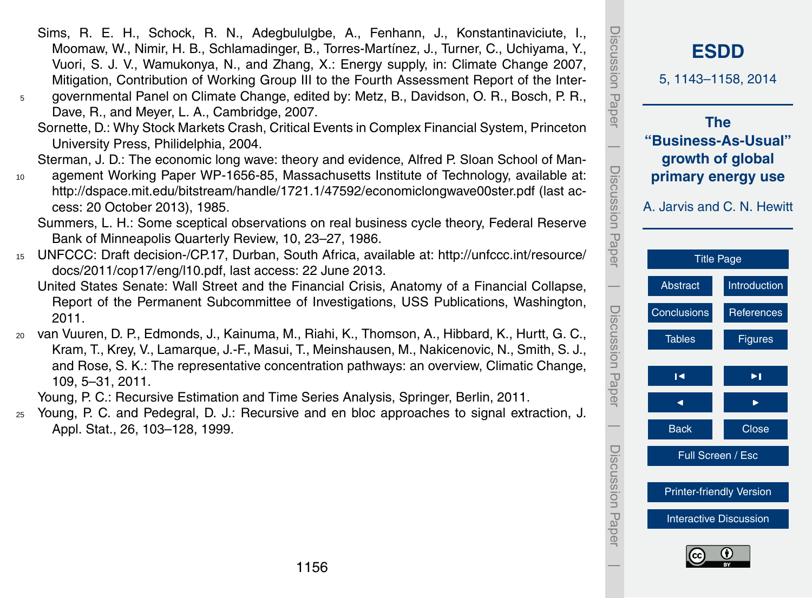Sims, R. E. H., Schock, R. N., Adegbululgbe, A., Fenhann, J., Konstantinaviciute, I., Moomaw, W., Nimir, H. B., Schlamadinger, B., Torres-Martínez, J., Turner, C., Uchiyama, Y., Vuori, S. J. V., Wamukonya, N., and Zhang, X.: Energy supply, in: Climate Change 2007, Mitigation, Contribution of Working Group III to the Fourth Assessment Report of the Inter-<sup>5</sup> governmental Panel on Climate Change, edited by: Metz, B., Davidson, O. R., Bosch, P. R.,

Dave, R., and Meyer, L. A., Cambridge, 2007.

Sornette, D.: Why Stock Markets Crash, Critical Events in Complex Financial System, Princeton University Press, Philidelphia, 2004.

Sterman, J. D.: The economic long wave: theory and evidence, Alfred P. Sloan School of Man-

<sup>10</sup> agement Working Paper WP-1656-85, Massachusetts Institute of Technology, available at: <http://dspace.mit.edu/bitstream/handle/1721.1/47592/economiclongwave00ster.pdf> (last access: 20 October 2013), 1985.

Summers, L. H.: Some sceptical observations on real business cycle theory, Federal Reserve Bank of Minneapolis Quarterly Review, 10, 23–27, 1986.

- <sup>15</sup> [U](http://unfccc.int/resource/docs/2011/cop17/eng/l10.pdf)NFCCC: Draft decision-/CP.17, Durban, South Africa, available at: [http://unfccc.int/resource/](http://unfccc.int/resource/docs/2011/cop17/eng/l10.pdf) [docs/2011/cop17/eng/l10.pdf,](http://unfccc.int/resource/docs/2011/cop17/eng/l10.pdf) last access: 22 June 2013.
	- United States Senate: Wall Street and the Financial Crisis, Anatomy of a Financial Collapse, Report of the Permanent Subcommittee of Investigations, USS Publications, Washington, 2011.
- <sup>20</sup> van Vuuren, D. P., Edmonds, J., Kainuma, M., Riahi, K., Thomson, A., Hibbard, K., Hurtt, G. C., Kram, T., Krey, V., Lamarque, J.-F., Masui, T., Meinshausen, M., Nakicenovic, N., Smith, S. J., and Rose, S. K.: The representative concentration pathways: an overview, Climatic Change, 109, 5–31, 2011.

Young, P. C.: Recursive Estimation and Time Series Analysis, Springer, Berlin, 2011.

<sup>25</sup> Young, P. C. and Pedegral, D. J.: Recursive and en bloc approaches to signal extraction, J. Appl. Stat., 26, 103–128, 1999.

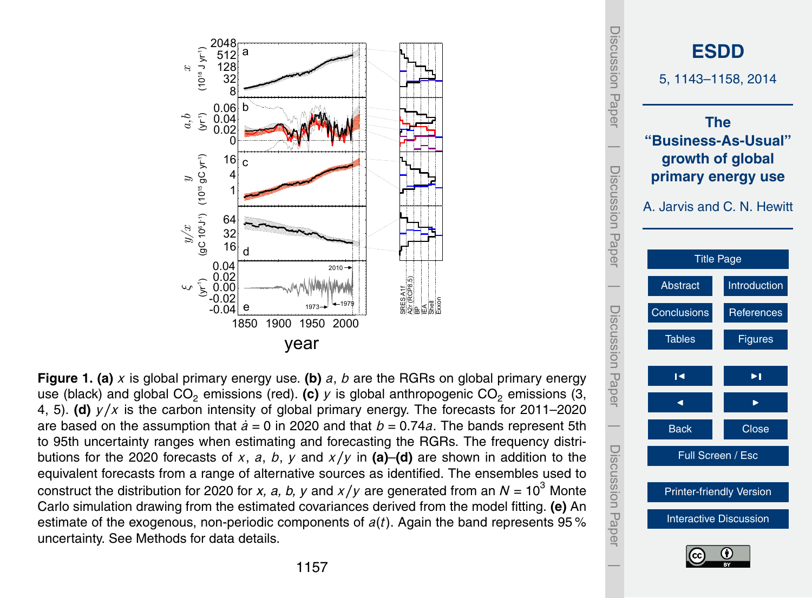<span id="page-14-0"></span>

equivalent forecasts from a range of alternative sources as identified. The ensembles used to **Figure 1. (a)** *x* is global primary energy use. (b) *a*, *b* are the RGRs on global primary energy use (black) and global  $CO<sub>2</sub>$  emissions (red). **(c)**  $\gamma$  is global anthropogenic  $CO<sub>2</sub>$  emissions (3, 4, 5). **(d)** *y/x* is the carbon intensity of global primary energy. The forecasts for 2011–2020 are based on the assumption that  $\dot{a} = 0$  in 2020 and that  $b = 0.74a$ . The bands represent 5th to 95th uncertainty ranges when estimating and forecasting the RGRs. The frequency distributions for the 2020 forecasts of *x*, *a*, *b*, *y* and *x/y* in **(a)**–**(d)** are shown in addition to the construct the distribution for 2020 for *x*, *a*, *b*, *y* and *x*/*y* are generated from an  $N = 10^3$  Monte Carlo simulation drawing from the estimated covariances derived from the model fitting. **(e)** An estimate of the exogenous, non-periodic components of *a*(*t*). Again the band represents 95 % uncertainty. See Methods for data details.